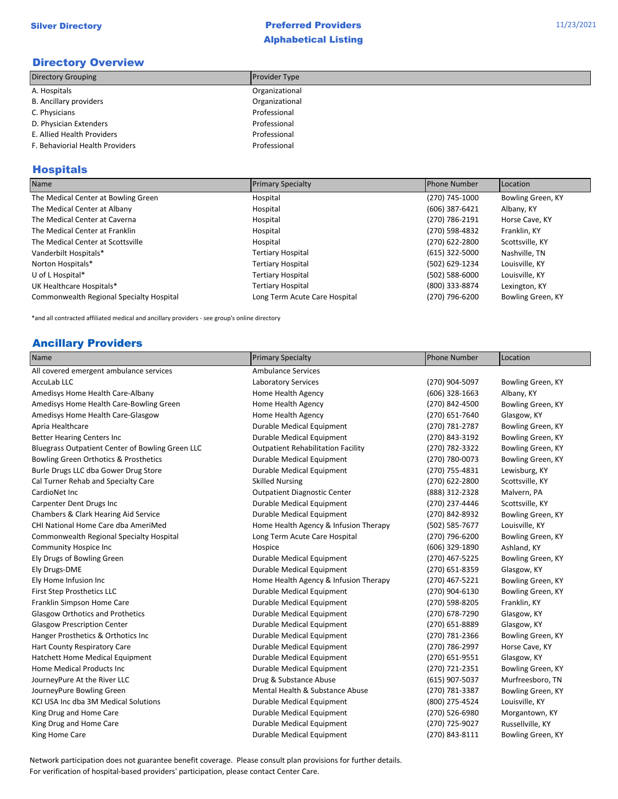## Directory Overview

| <b>Directory Grouping</b>       | <b>Provider Type</b> |
|---------------------------------|----------------------|
| A. Hospitals                    | Organizational       |
| <b>B.</b> Ancillary providers   | Organizational       |
| C. Physicians                   | Professional         |
| D. Physician Extenders          | Professional         |
| E. Allied Health Providers      | Professional         |
| F. Behaviorial Health Providers | Professional         |

## Hospitals

| Name                                     | <b>Primary Specialty</b>      | <b>Phone Number</b> | Location          |
|------------------------------------------|-------------------------------|---------------------|-------------------|
| The Medical Center at Bowling Green      | Hospital                      | (270) 745-1000      | Bowling Green, KY |
| The Medical Center at Albany             | Hospital                      | (606) 387-6421      | Albany, KY        |
| The Medical Center at Caverna            | Hospital                      | (270) 786-2191      | Horse Cave, KY    |
| The Medical Center at Franklin           | Hospital                      | (270) 598-4832      | Franklin, KY      |
| The Medical Center at Scottsville        | Hospital                      | (270) 622-2800      | Scottsville, KY   |
| Vanderbilt Hospitals*                    | <b>Tertiary Hospital</b>      | (615) 322-5000      | Nashville, TN     |
| Norton Hospitals*                        | <b>Tertiary Hospital</b>      | (502) 629-1234      | Louisville, KY    |
| U of L Hospital*                         | <b>Tertiary Hospital</b>      | (502) 588-6000      | Louisville, KY    |
| UK Healthcare Hospitals*                 | Tertiary Hospital             | (800) 333-8874      | Lexington, KY     |
| Commonwealth Regional Specialty Hospital | Long Term Acute Care Hospital | (270) 796-6200      | Bowling Green, KY |

\*and all contracted affiliated medical and ancillary providers - see group's online directory

## Ancillary Providers

| <b>Name</b>                                      | <b>Primary Specialty</b>                  | <b>Phone Number</b> | Location          |
|--------------------------------------------------|-------------------------------------------|---------------------|-------------------|
| All covered emergent ambulance services          | <b>Ambulance Services</b>                 |                     |                   |
| AccuLab LLC                                      | Laboratory Services                       | (270) 904-5097      | Bowling Green, KY |
| Amedisys Home Health Care-Albany                 | Home Health Agency                        | $(606)$ 328-1663    | Albany, KY        |
| Amedisys Home Health Care-Bowling Green          | Home Health Agency                        | (270) 842-4500      | Bowling Green, KY |
| Amedisys Home Health Care-Glasgow                | Home Health Agency                        | (270) 651-7640      | Glasgow, KY       |
| Apria Healthcare                                 | Durable Medical Equipment                 | (270) 781-2787      | Bowling Green, KY |
| <b>Better Hearing Centers Inc</b>                | Durable Medical Equipment                 | (270) 843-3192      | Bowling Green, KY |
| Bluegrass Outpatient Center of Bowling Green LLC | <b>Outpatient Rehabilitation Facility</b> | (270) 782-3322      | Bowling Green, KY |
| Bowling Green Orthotics & Prosthetics            | Durable Medical Equipment                 | (270) 780-0073      | Bowling Green, KY |
| Burle Drugs LLC dba Gower Drug Store             | Durable Medical Equipment                 | (270) 755-4831      | Lewisburg, KY     |
| Cal Turner Rehab and Specialty Care              | <b>Skilled Nursing</b>                    | (270) 622-2800      | Scottsville, KY   |
| CardioNet Inc                                    | <b>Outpatient Diagnostic Center</b>       | (888) 312-2328      | Malvern, PA       |
| Carpenter Dent Drugs Inc                         | Durable Medical Equipment                 | (270) 237-4446      | Scottsville, KY   |
| Chambers & Clark Hearing Aid Service             | Durable Medical Equipment                 | (270) 842-8932      | Bowling Green, KY |
| CHI National Home Care dba AmeriMed              | Home Health Agency & Infusion Therapy     | (502) 585-7677      | Louisville, KY    |
| Commonwealth Regional Specialty Hospital         | Long Term Acute Care Hospital             | (270) 796-6200      | Bowling Green, KY |
| <b>Community Hospice Inc</b>                     | Hospice                                   | (606) 329-1890      | Ashland, KY       |
| Ely Drugs of Bowling Green                       | Durable Medical Equipment                 | (270) 467-5225      | Bowling Green, KY |
| Ely Drugs-DME                                    | Durable Medical Equipment                 | (270) 651-8359      | Glasgow, KY       |
| Ely Home Infusion Inc                            | Home Health Agency & Infusion Therapy     | (270) 467-5221      | Bowling Green, KY |
| First Step Prosthetics LLC                       | Durable Medical Equipment                 | (270) 904-6130      | Bowling Green, KY |
| Franklin Simpson Home Care                       | Durable Medical Equipment                 | (270) 598-8205      | Franklin, KY      |
| <b>Glasgow Orthotics and Prothetics</b>          | Durable Medical Equipment                 | (270) 678-7290      | Glasgow, KY       |
| <b>Glasgow Prescription Center</b>               | Durable Medical Equipment                 | (270) 651-8889      | Glasgow, KY       |
| Hanger Prosthetics & Orthotics Inc               | Durable Medical Equipment                 | (270) 781-2366      | Bowling Green, KY |
| Hart County Respiratory Care                     | Durable Medical Equipment                 | (270) 786-2997      | Horse Cave, KY    |
| Hatchett Home Medical Equipment                  | Durable Medical Equipment                 | (270) 651-9551      | Glasgow, KY       |
| Home Medical Products Inc                        | Durable Medical Equipment                 | (270) 721-2351      | Bowling Green, KY |
| JourneyPure At the River LLC                     | Drug & Substance Abuse                    | (615) 907-5037      | Murfreesboro, TN  |
| JourneyPure Bowling Green                        | Mental Health & Substance Abuse           | (270) 781-3387      | Bowling Green, KY |
| KCI USA Inc dba 3M Medical Solutions             | Durable Medical Equipment                 | (800) 275-4524      | Louisville, KY    |
| King Drug and Home Care                          | Durable Medical Equipment                 | (270) 526-6980      | Morgantown, KY    |
| King Drug and Home Care                          | Durable Medical Equipment                 | (270) 725-9027      | Russellville, KY  |
| King Home Care                                   | Durable Medical Equipment                 | (270) 843-8111      | Bowling Green, KY |

Network participation does not guarantee benefit coverage. Please consult plan provisions for further details. For verification of hospital-based providers' participation, please contact Center Care.